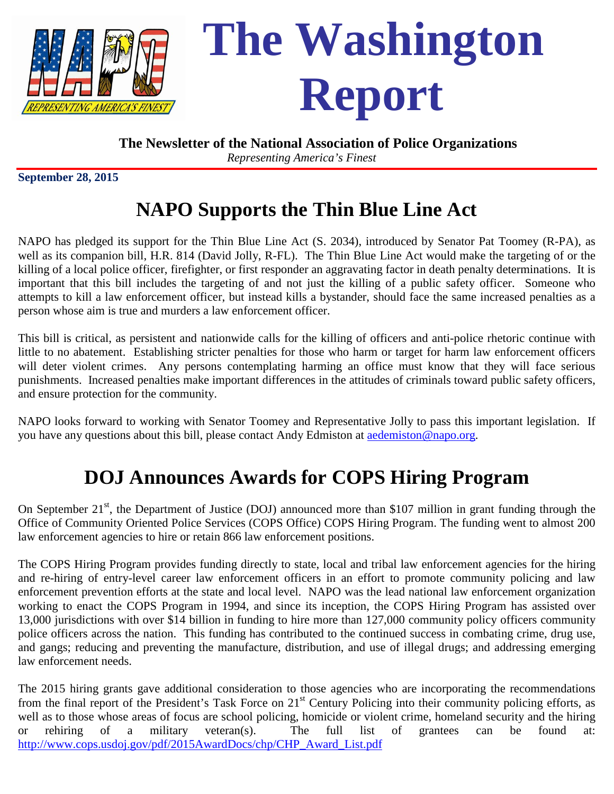

**The Newsletter of the National Association of Police Organizations**

*Representing America's Finest*

**September 28, 2015** 

# **NAPO Supports the Thin Blue Line Act**

NAPO has pledged its support for the Thin Blue Line Act (S. 2034), introduced by Senator Pat Toomey (R-PA), as well as its companion bill, H.R. 814 (David Jolly, R-FL). The Thin Blue Line Act would make the targeting of or the killing of a local police officer, firefighter, or first responder an aggravating factor in death penalty determinations. It is important that this bill includes the targeting of and not just the killing of a public safety officer. Someone who attempts to kill a law enforcement officer, but instead kills a bystander, should face the same increased penalties as a person whose aim is true and murders a law enforcement officer.

This bill is critical, as persistent and nationwide calls for the killing of officers and anti-police rhetoric continue with little to no abatement. Establishing stricter penalties for those who harm or target for harm law enforcement officers will deter violent crimes. Any persons contemplating harming an office must know that they will face serious punishments. Increased penalties make important differences in the attitudes of criminals toward public safety officers, and ensure protection for the community.

NAPO looks forward to working with Senator Toomey and Representative Jolly to pass this important legislation. If you have any questions about this bill, please contact Andy Edmiston at [aedemiston@napo.org.](mailto:aedemiston@napo.org)

## **DOJ Announces Awards for COPS Hiring Program**

On September  $21^{st}$ , the Department of Justice (DOJ) announced more than \$107 million in grant funding through the Office of Community Oriented Police Services (COPS Office) COPS Hiring Program. The funding went to almost 200 law enforcement agencies to hire or retain 866 law enforcement positions.

The COPS Hiring Program provides funding directly to state, local and tribal law enforcement agencies for the hiring and re-hiring of entry-level career law enforcement officers in an effort to promote community policing and law enforcement prevention efforts at the state and local level. NAPO was the lead national law enforcement organization working to enact the COPS Program in 1994, and since its inception, the COPS Hiring Program has assisted over 13,000 jurisdictions with over \$14 billion in funding to hire more than 127,000 community policy officers community police officers across the nation. This funding has contributed to the continued success in combating crime, drug use, and gangs; reducing and preventing the manufacture, distribution, and use of illegal drugs; and addressing emerging law enforcement needs.

The 2015 hiring grants gave additional consideration to those agencies who are incorporating the recommendations from the final report of the President's Task Force on  $21<sup>st</sup>$  Century Policing into their community policing efforts, as well as to those whose areas of focus are school policing, homicide or violent crime, homeland security and the hiring or rehiring of a military veteran(s). The full list of grantees can be found at: [http://www.cops.usdoj.gov/pdf/2015AwardDocs/chp/CHP\\_Award\\_List.pdf](http://www.cops.usdoj.gov/pdf/2015AwardDocs/chp/CHP_Award_List.pdf)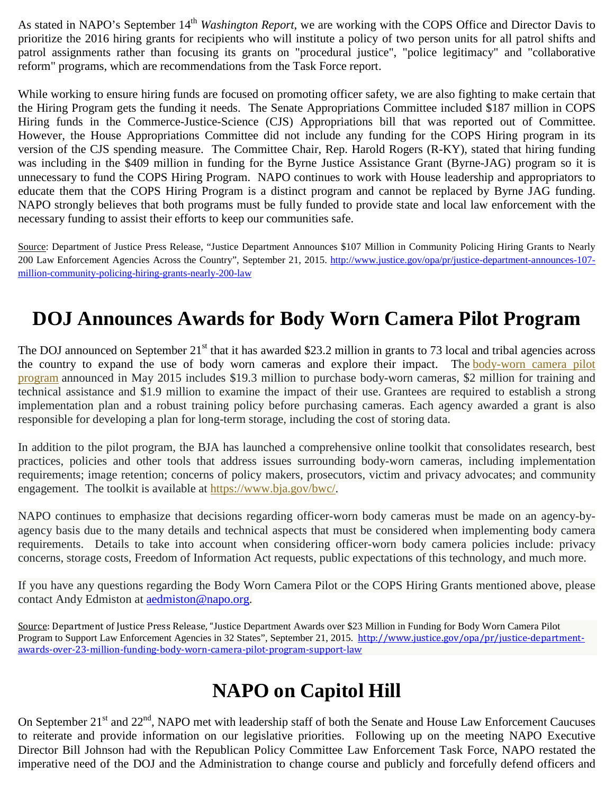As stated in NAPO's September 14<sup>th</sup> *Washington Report*, we are working with the COPS Office and Director Davis to prioritize the 2016 hiring grants for recipients who will institute a policy of two person units for all patrol shifts and patrol assignments rather than focusing its grants on "procedural justice", "police legitimacy" and "collaborative reform" programs, which are recommendations from the Task Force report.

While working to ensure hiring funds are focused on promoting officer safety, we are also fighting to make certain that the Hiring Program gets the funding it needs. The Senate Appropriations Committee included \$187 million in COPS Hiring funds in the Commerce-Justice-Science (CJS) Appropriations bill that was reported out of Committee. However, the House Appropriations Committee did not include any funding for the COPS Hiring program in its version of the CJS spending measure. The Committee Chair, Rep. Harold Rogers (R-KY), stated that hiring funding was including in the \$409 million in funding for the Byrne Justice Assistance Grant (Byrne-JAG) program so it is unnecessary to fund the COPS Hiring Program. NAPO continues to work with House leadership and appropriators to educate them that the COPS Hiring Program is a distinct program and cannot be replaced by Byrne JAG funding. NAPO strongly believes that both programs must be fully funded to provide state and local law enforcement with the necessary funding to assist their efforts to keep our communities safe.

Source: Department of Justice Press Release, "Justice Department Announces \$107 Million in Community Policing Hiring Grants to Nearly 200 Law Enforcement Agencies Across the Country", September 21, 2015. [http://www.justice.gov/opa/pr/justice-department-announces-107](http://www.justice.gov/opa/pr/justice-department-announces-107-million-community-policing-hiring-grants-nearly-200-law) [million-community-policing-hiring-grants-nearly-200-law](http://www.justice.gov/opa/pr/justice-department-announces-107-million-community-policing-hiring-grants-nearly-200-law)

## **DOJ Announces Awards for Body Worn Camera Pilot Program**

The DOJ announced on September  $21^{st}$  that it has awarded \$23.2 million in grants to 73 local and tribal agencies across the country to expand the use of body worn cameras and explore their impact. The [body-worn camera pilot](http://www.bja.gov/bwc/pdfs/BWCPIP-Award-Fact-Sheet.pdf)  [program](http://www.bja.gov/bwc/pdfs/BWCPIP-Award-Fact-Sheet.pdf) announced in May 2015 includes \$19.3 million to purchase body-worn cameras, \$2 million for training and technical assistance and \$1.9 million to examine the impact of their use. Grantees are required to establish a strong implementation plan and a robust training policy before purchasing cameras. Each agency awarded a grant is also responsible for developing a plan for long-term storage, including the cost of storing data.

In addition to the pilot program, the BJA has launched a comprehensive online toolkit that consolidates research, best practices, policies and other tools that address issues surrounding body-worn cameras, including implementation requirements; image retention; concerns of policy makers, prosecutors, victim and privacy advocates; and community engagement. The toolkit is available at [https://www.bja.gov/bwc/.](https://www.bja.gov/bwc/)

NAPO continues to emphasize that decisions regarding officer-worn body cameras must be made on an agency-byagency basis due to the many details and technical aspects that must be considered when implementing body camera requirements. Details to take into account when considering officer-worn body camera policies include: privacy concerns, storage costs, Freedom of Information Act requests, public expectations of this technology, and much more.

If you have any questions regarding the Body Worn Camera Pilot or the COPS Hiring Grants mentioned above, please contact Andy Edmiston at [aedmiston@napo.org.](mailto:aedmiston@napo.org)

Source: Department of Justice Press Release, "Justice Department Awards over \$23 Million in Funding for Body Worn Camera Pilot Program to Support Law Enforcement Agencies in 32 States", September 21, 2015. [http://www.justice.gov/opa/pr/justice-department](http://www.justice.gov/opa/pr/justice-department-awards-over-23-million-funding-body-worn-camera-pilot-program-support-law)[awards-over-23-million-funding-body-worn-camera-pilot-program-support-law](http://www.justice.gov/opa/pr/justice-department-awards-over-23-million-funding-body-worn-camera-pilot-program-support-law)

## **NAPO on Capitol Hill**

On September 21<sup>st</sup> and 22<sup>nd</sup>, NAPO met with leadership staff of both the Senate and House Law Enforcement Caucuses to reiterate and provide information on our legislative priorities. Following up on the meeting NAPO Executive Director Bill Johnson had with the Republican Policy Committee Law Enforcement Task Force, NAPO restated the imperative need of the DOJ and the Administration to change course and publicly and forcefully defend officers and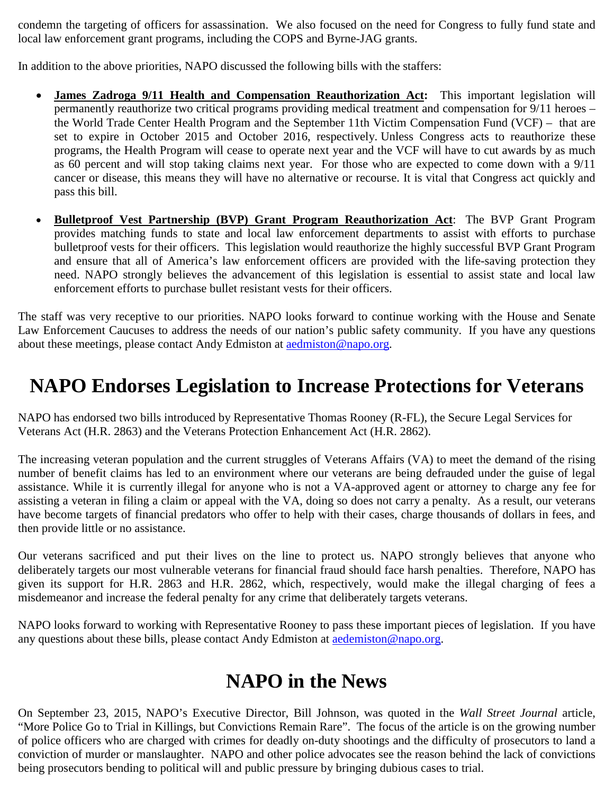condemn the targeting of officers for assassination. We also focused on the need for Congress to fully fund state and local law enforcement grant programs, including the COPS and Byrne-JAG grants.

In addition to the above priorities, NAPO discussed the following bills with the staffers:

- **James Zadroga 9/11 Health and Compensation Reauthorization Act:** This important legislation will permanently reauthorize two critical programs providing medical treatment and compensation for 9/11 heroes – the World Trade Center Health Program and the September 11th Victim Compensation Fund (VCF) – that are set to expire in October 2015 and October 2016, respectively. Unless Congress acts to reauthorize these programs, the Health Program will cease to operate next year and the VCF will have to cut awards by as much as 60 percent and will stop taking claims next year. For those who are expected to come down with a 9/11 cancer or disease, this means they will have no alternative or recourse. It is vital that Congress act quickly and pass this bill.
- **Bulletproof Vest Partnership (BVP) Grant Program Reauthorization Act**: The BVP Grant Program provides matching funds to state and local law enforcement departments to assist with efforts to purchase bulletproof vests for their officers. This legislation would reauthorize the highly successful BVP Grant Program and ensure that all of America's law enforcement officers are provided with the life-saving protection they need. NAPO strongly believes the advancement of this legislation is essential to assist state and local law enforcement efforts to purchase bullet resistant vests for their officers.

The staff was very receptive to our priorities. NAPO looks forward to continue working with the House and Senate Law Enforcement Caucuses to address the needs of our nation's public safety community. If you have any questions about these meetings, please contact Andy Edmiston at [aedmiston@napo.org.](mailto:aedmiston@napo.org)

## **NAPO Endorses Legislation to Increase Protections for Veterans**

NAPO has endorsed two bills introduced by Representative Thomas Rooney (R-FL), the Secure Legal Services for Veterans Act (H.R. 2863) and the Veterans Protection Enhancement Act (H.R. 2862).

The increasing veteran population and the current struggles of Veterans Affairs (VA) to meet the demand of the rising number of benefit claims has led to an environment where our veterans are being defrauded under the guise of legal assistance. While it is currently illegal for anyone who is not a VA-approved agent or attorney to charge any fee for assisting a veteran in filing a claim or appeal with the VA, doing so does not carry a penalty. As a result, our veterans have become targets of financial predators who offer to help with their cases, charge thousands of dollars in fees, and then provide little or no assistance.

Our veterans sacrificed and put their lives on the line to protect us. NAPO strongly believes that anyone who deliberately targets our most vulnerable veterans for financial fraud should face harsh penalties. Therefore, NAPO has given its support for H.R. 2863 and H.R. 2862, which, respectively, would make the illegal charging of fees a misdemeanor and increase the federal penalty for any crime that deliberately targets veterans.

NAPO looks forward to working with Representative Rooney to pass these important pieces of legislation. If you have any questions about these bills, please contact Andy Edmiston at [aedemiston@napo.org.](mailto:aedemiston@napo.org)

## **NAPO in the News**

On September 23, 2015, NAPO's Executive Director, Bill Johnson, was quoted in the *Wall Street Journal* article, "More Police Go to Trial in Killings, but Convictions Remain Rare". The focus of the article is on the growing number of police officers who are charged with crimes for deadly on-duty shootings and the difficulty of prosecutors to land a conviction of murder or manslaughter. NAPO and other police advocates see the reason behind the lack of convictions being prosecutors bending to political will and public pressure by bringing dubious cases to trial.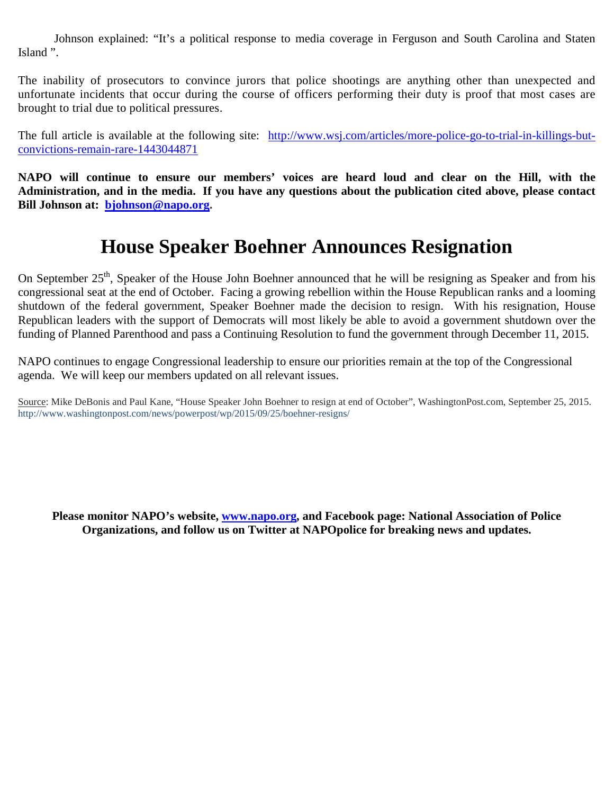Johnson explained: "It's a political response to media coverage in Ferguson and South Carolina and Staten Island ".

The inability of prosecutors to convince jurors that police shootings are anything other than unexpected and unfortunate incidents that occur during the course of officers performing their duty is proof that most cases are brought to trial due to political pressures.

The full article is available at the following site: [http://www.wsj.com/articles/more-police-go-to-trial-in-killings-but](http://www.wsj.com/articles/more-police-go-to-trial-in-killings-but-convictions-remain-rare-1443044871)[convictions-remain-rare-1443044871](http://www.wsj.com/articles/more-police-go-to-trial-in-killings-but-convictions-remain-rare-1443044871)

**NAPO will continue to ensure our members' voices are heard loud and clear on the Hill, with the Administration, and in the media. If you have any questions about the publication cited above, please contact Bill Johnson at: [bjohnson@napo.org.](mailto:bjohnson@napo.org)** 

#### **House Speaker Boehner Announces Resignation**

On September 25<sup>th</sup>, Speaker of the House John Boehner announced that he will be resigning as Speaker and from his congressional seat at the end of October. Facing a growing rebellion within the House Republican ranks and a looming shutdown of the federal government, Speaker Boehner made the decision to resign. With his resignation, House Republican leaders with the support of Democrats will most likely be able to avoid a government shutdown over the funding of Planned Parenthood and pass a Continuing Resolution to fund the government through December 11, 2015.

NAPO continues to engage Congressional leadership to ensure our priorities remain at the top of the Congressional agenda. We will keep our members updated on all relevant issues.

Source: Mike DeBonis and Paul Kane, "House Speaker John Boehner to resign at end of October", WashingtonPost.com, September 25, 2015. http://www.washingtonpost.com/news/powerpost/wp/2015/09/25/boehner-resigns/

**Please monitor NAPO's website, [www.napo.org,](http://www.napo.org/) and Facebook page: National Association of Police Organizations, and follow us on Twitter at NAPOpolice for breaking news and updates.**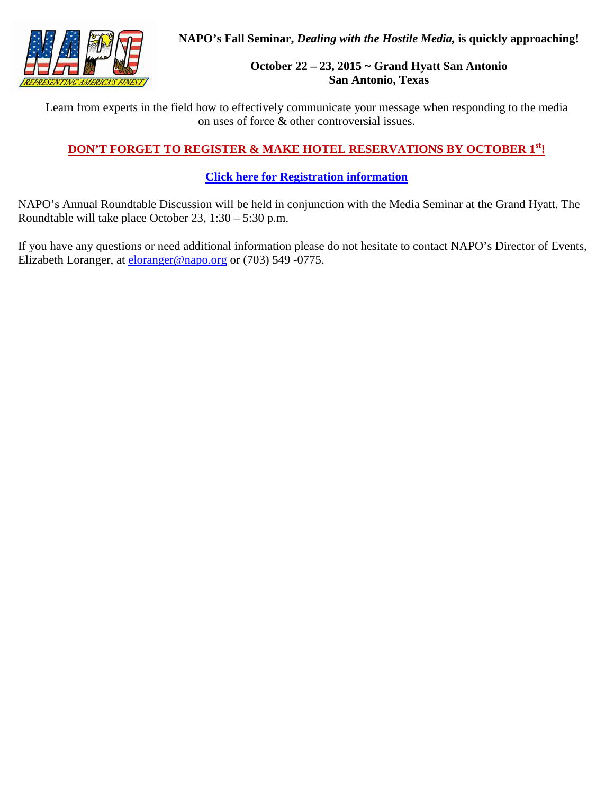**NAPO's Fall Seminar,** *Dealing with the Hostile Media,* **is quickly approaching!**

#### **October 22 – 23, 2015 ~ Grand Hyatt San Antonio San Antonio, Texas**

Learn from experts in the field how to effectively communicate your message when responding to the media on uses of force & other controversial issues.

#### **DON'T FORGET TO REGISTER & MAKE HOTEL RESERVATIONS BY OCTOBER 1st!**

#### **[Click here for Registration information](http://www.napo.org/index.php?cID=492)**

NAPO's Annual Roundtable Discussion will be held in conjunction with the Media Seminar at the Grand Hyatt. The Roundtable will take place October 23, 1:30 – 5:30 p.m.

If you have any questions or need additional information please do not hesitate to contact NAPO's Director of Events, Elizabeth Loranger, at [eloranger@napo.org](mailto:eloranger@napo.org) or (703) 549 -0775.